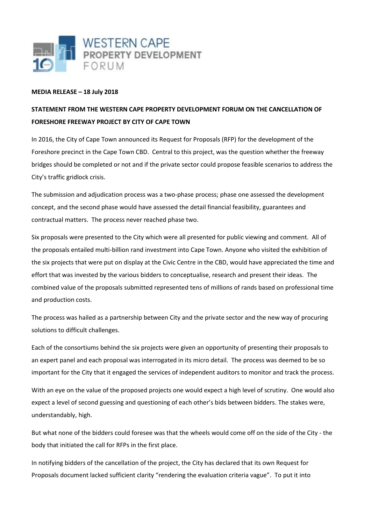

## **MEDIA RELEASE – 18 July 2018**

## **STATEMENT FROM THE WESTERN CAPE PROPERTY DEVELOPMENT FORUM ON THE CANCELLATION OF FORESHORE FREEWAY PROJECT BY CITY OF CAPE TOWN**

In 2016, the City of Cape Town announced its Request for Proposals (RFP) for the development of the Foreshore precinct in the Cape Town CBD. Central to this project, was the question whether the freeway bridges should be completed or not and if the private sector could propose feasible scenarios to address the City's traffic gridlock crisis.

The submission and adjudication process was a two-phase process; phase one assessed the development concept, and the second phase would have assessed the detail financial feasibility, guarantees and contractual matters. The process never reached phase two.

Six proposals were presented to the City which were all presented for public viewing and comment. All of the proposals entailed multi-billion rand investment into Cape Town. Anyone who visited the exhibition of the six projects that were put on display at the Civic Centre in the CBD, would have appreciated the time and effort that was invested by the various bidders to conceptualise, research and present their ideas. The combined value of the proposals submitted represented tens of millions of rands based on professional time and production costs.

The process was hailed as a partnership between City and the private sector and the new way of procuring solutions to difficult challenges.

Each of the consortiums behind the six projects were given an opportunity of presenting their proposals to an expert panel and each proposal was interrogated in its micro detail. The process was deemed to be so important for the City that it engaged the services of independent auditors to monitor and track the process.

With an eye on the value of the proposed projects one would expect a high level of scrutiny. One would also expect a level of second guessing and questioning of each other's bids between bidders. The stakes were, understandably, high.

But what none of the bidders could foresee was that the wheels would come off on the side of the City - the body that initiated the call for RFPs in the first place.

In notifying bidders of the cancellation of the project, the City has declared that its own Request for Proposals document lacked sufficient clarity "rendering the evaluation criteria vague". To put it into